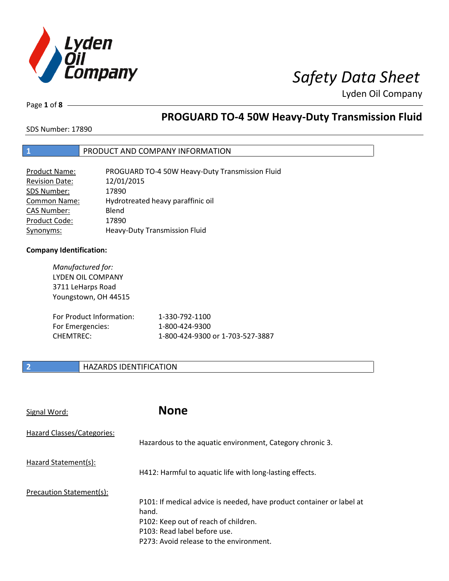

Page **1** of **8**

# **PROGUARD TO-4 50W Heavy-Duty Transmission Fluid**

SDS Number: 17890

## **1** PRODUCT AND COMPANY INFORMATION

| Product Name:         | PROGUARD TO-4 50W Heavy-Duty Transmission Fluid |
|-----------------------|-------------------------------------------------|
| <b>Revision Date:</b> | 12/01/2015                                      |
| SDS Number:           | 17890                                           |
| <b>Common Name:</b>   | Hydrotreated heavy paraffinic oil               |
| <b>CAS Number:</b>    | Blend                                           |
| Product Code:         | 17890                                           |
| Synonyms:             | Heavy-Duty Transmission Fluid                   |

### **Company Identification:**

*Manufactured for:* LYDEN OIL COMPANY 3711 LeHarps Road Youngstown, OH 44515 For Product Information: 1-330-792-1100 For Emergencies: 1-800-424-9300 CHEMTREC: 1-800-424-9300 or 1-703-527-3887

## **2 HAZARDS IDENTIFICATION**

| Signal Word:               | <b>None</b>                                                                                                                                                                                       |
|----------------------------|---------------------------------------------------------------------------------------------------------------------------------------------------------------------------------------------------|
| Hazard Classes/Categories: | Hazardous to the aquatic environment, Category chronic 3.                                                                                                                                         |
| Hazard Statement(s):       | H412: Harmful to aquatic life with long-lasting effects.                                                                                                                                          |
| Precaution Statement(s):   | P101: If medical advice is needed, have product container or label at<br>hand.<br>P102: Keep out of reach of children.<br>P103: Read label before use.<br>P273: Avoid release to the environment. |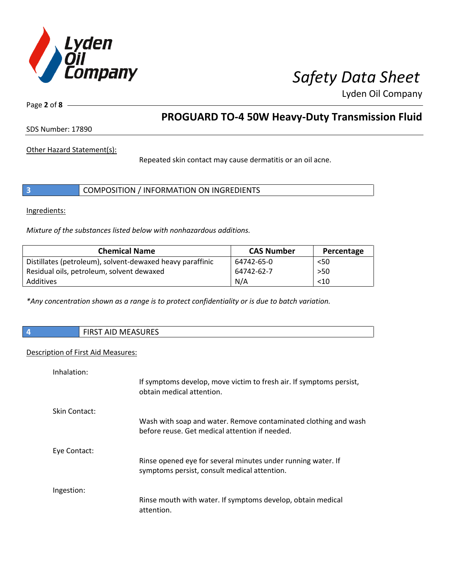

Page **2** of **8**

# **PROGUARD TO-4 50W Heavy-Duty Transmission Fluid**

SDS Number: 17890

Other Hazard Statement(s):

Repeated skin contact may cause dermatitis or an oil acne.

|  | COMPOSITION / INFORMATION ON INGREDIENTS |
|--|------------------------------------------|
|--|------------------------------------------|

Ingredients:

*Mixture of the substances listed below with nonhazardous additions.*

| <b>Chemical Name</b>                                      | <b>CAS Number</b> | Percentage |
|-----------------------------------------------------------|-------------------|------------|
| Distillates (petroleum), solvent-dewaxed heavy paraffinic | 64742-65-0        | $50$       |
| Residual oils, petroleum, solvent dewaxed                 | 64742-62-7        | $>50$      |
| Additives                                                 | N/A               | < 10       |

*\*Any concentration shown as a range is to protect confidentiality or is due to batch variation.*

| <b>FIRST AID MEASURES</b> |
|---------------------------|
|                           |

### Description of First Aid Measures:

| Inhalation:   |                                                                                                                   |
|---------------|-------------------------------------------------------------------------------------------------------------------|
|               | If symptoms develop, move victim to fresh air. If symptoms persist,<br>obtain medical attention.                  |
| Skin Contact: |                                                                                                                   |
|               | Wash with soap and water. Remove contaminated clothing and wash<br>before reuse. Get medical attention if needed. |
| Eye Contact:  |                                                                                                                   |
|               | Rinse opened eye for several minutes under running water. If<br>symptoms persist, consult medical attention.      |
| Ingestion:    |                                                                                                                   |
|               | Rinse mouth with water. If symptoms develop, obtain medical<br>attention.                                         |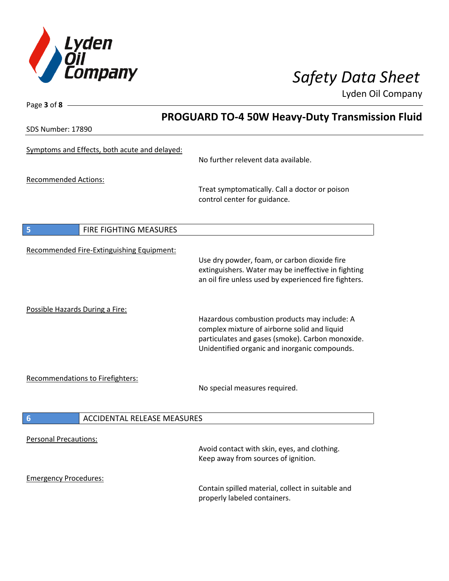

Page **3** of **8**

Lyden Oil Company

|                                                       | <b>PROGUARD TO-4 50W Heavy-Duty Transmission Fluid</b>                                                                                                                                            |  |
|-------------------------------------------------------|---------------------------------------------------------------------------------------------------------------------------------------------------------------------------------------------------|--|
| SDS Number: 17890                                     |                                                                                                                                                                                                   |  |
| Symptoms and Effects, both acute and delayed:         | No further relevent data available.                                                                                                                                                               |  |
| <b>Recommended Actions:</b>                           | Treat symptomatically. Call a doctor or poison<br>control center for guidance.                                                                                                                    |  |
| 5<br>FIRE FIGHTING MEASURES                           |                                                                                                                                                                                                   |  |
| Recommended Fire-Extinguishing Equipment:             | Use dry powder, foam, or carbon dioxide fire<br>extinguishers. Water may be ineffective in fighting<br>an oil fire unless used by experienced fire fighters.                                      |  |
| Possible Hazards During a Fire:                       | Hazardous combustion products may include: A<br>complex mixture of airborne solid and liquid<br>particulates and gases (smoke). Carbon monoxide.<br>Unidentified organic and inorganic compounds. |  |
| <b>Recommendations to Firefighters:</b>               | No special measures required.                                                                                                                                                                     |  |
| $6\phantom{1}6$<br><b>ACCIDENTAL RELEASE MEASURES</b> |                                                                                                                                                                                                   |  |
| <b>Personal Precautions:</b>                          | Avoid contact with skin, eyes, and clothing.<br>Keep away from sources of ignition.                                                                                                               |  |
| <b>Emergency Procedures:</b>                          | Contain spilled material, collect in suitable and<br>properly labeled containers.                                                                                                                 |  |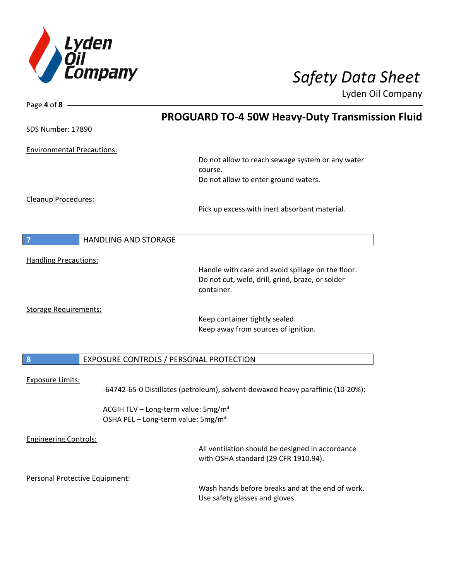

| Page 4 of 8                       |                                                                                          |
|-----------------------------------|------------------------------------------------------------------------------------------|
|                                   | <b>PROGUARD TO-4 50W Heavy-Duty Transmission Fluid</b>                                   |
| <b>SDS Number: 17890</b>          |                                                                                          |
| <b>Environmental Precautions:</b> |                                                                                          |
|                                   | Do not allow to reach sewage system or any water                                         |
|                                   | course.<br>Do not allow to enter ground waters.                                          |
|                                   |                                                                                          |
| <b>Cleanup Procedures:</b>        |                                                                                          |
|                                   | Pick up excess with inert absorbant material.                                            |
|                                   |                                                                                          |
| <b>HANDLING AND STORAGE</b><br>7  |                                                                                          |
| <b>Handling Precautions:</b>      |                                                                                          |
|                                   | Handle with care and avoid spillage on the floor.                                        |
|                                   | Do not cut, weld, drill, grind, braze, or solder<br>container.                           |
|                                   |                                                                                          |
| <b>Storage Requirements:</b>      | Keep container tightly sealed.                                                           |
|                                   | Keep away from sources of ignition.                                                      |
|                                   |                                                                                          |
| $\boldsymbol{8}$                  | EXPOSURE CONTROLS / PERSONAL PROTECTION                                                  |
| <b>Exposure Limits:</b>           |                                                                                          |
|                                   | -64742-65-0 Distillates (petroleum), solvent-dewaxed heavy paraffinic (10-20%):          |
|                                   | ACGIH TLV - Long-term value: 5mg/m <sup>3</sup>                                          |
|                                   | OSHA PEL - Long-term value: 5mg/m <sup>3</sup>                                           |
| <b>Engineering Controls:</b>      |                                                                                          |
|                                   | All ventilation should be designed in accordance<br>with OSHA standard (29 CFR 1910.94). |
| Personal Protective Equipment:    |                                                                                          |
|                                   | Wash hands before breaks and at the end of work.                                         |
|                                   | Use safety glasses and gloves.                                                           |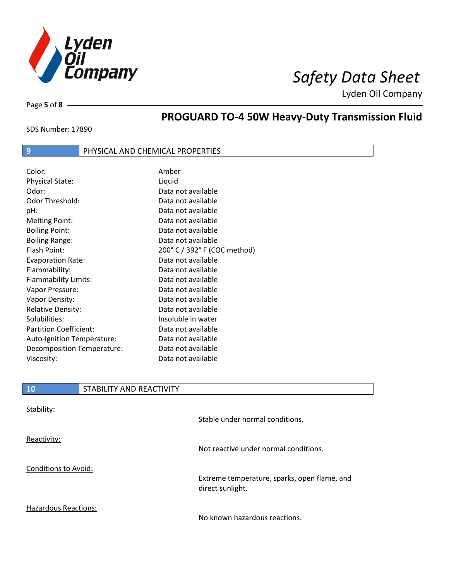

Page **5** of **8**

# **PROGUARD TO-4 50W Heavy-Duty Transmission Fluid**

SDS Number: 17890

## **9** PHYSICAL AND CHEMICAL PROPERTIES

| Color:                        | Amber                        |
|-------------------------------|------------------------------|
| <b>Physical State:</b>        | Liquid                       |
| Odor:                         | Data not available           |
| Odor Threshold:               | Data not available           |
| pH:                           | Data not available           |
| <b>Melting Point:</b>         | Data not available           |
| <b>Boiling Point:</b>         | Data not available           |
| <b>Boiling Range:</b>         | Data not available           |
| Flash Point:                  | 200° C / 392° F (COC method) |
| <b>Evaporation Rate:</b>      | Data not available           |
| Flammability:                 | Data not available           |
| Flammability Limits:          | Data not available           |
| Vapor Pressure:               | Data not available           |
| Vapor Density:                | Data not available           |
| <b>Relative Density:</b>      | Data not available           |
| Solubilities:                 | Insoluble in water           |
| <b>Partition Coefficient:</b> | Data not available           |
| Auto-Ignition Temperature:    | Data not available           |
| Decomposition Temperature:    | Data not available           |
| Viscosity:                    | Data not available           |

| 10         | <b>I STABILITY AND REACTIVITY</b> |
|------------|-----------------------------------|
|            |                                   |
| Stability: |                                   |

|                             | Stable under normal conditions.                                  |
|-----------------------------|------------------------------------------------------------------|
| Reactivity:                 | Not reactive under normal conditions.                            |
| Conditions to Avoid:        | Extreme temperature, sparks, open flame, and<br>direct sunlight. |
| <b>Hazardous Reactions:</b> | No known hazardous reactions.                                    |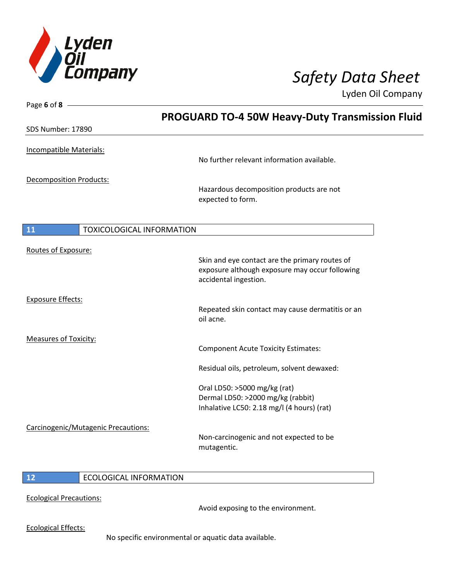

Page **6** of **8**

Lyden Oil Company

|                                        | <b>PROGUARD TO-4 50W Heavy-Duty Transmission Fluid</b>                                                                    |
|----------------------------------------|---------------------------------------------------------------------------------------------------------------------------|
| SDS Number: 17890                      |                                                                                                                           |
| Incompatible Materials:                | No further relevant information available.                                                                                |
| <b>Decomposition Products:</b>         | Hazardous decomposition products are not<br>expected to form.                                                             |
| <b>TOXICOLOGICAL INFORMATION</b><br>11 |                                                                                                                           |
| Routes of Exposure:                    | Skin and eye contact are the primary routes of<br>exposure although exposure may occur following<br>accidental ingestion. |
| <b>Exposure Effects:</b>               | Repeated skin contact may cause dermatitis or an<br>oil acne.                                                             |
| <b>Measures of Toxicity:</b>           | <b>Component Acute Toxicity Estimates:</b>                                                                                |
|                                        | Residual oils, petroleum, solvent dewaxed:                                                                                |
|                                        | Oral LD50: >5000 mg/kg (rat)<br>Dermal LD50: >2000 mg/kg (rabbit)<br>Inhalative LC50: 2.18 mg/l (4 hours) (rat)           |
| Carcinogenic/Mutagenic Precautions:    | Non-carcinogenic and not expected to be                                                                                   |
|                                        | mutagentic.                                                                                                               |

### **12** ECOLOGICAL INFORMATION

Ecological Precautions:

Avoid exposing to the environment.

Ecological Effects:

No specific environmental or aquatic data available.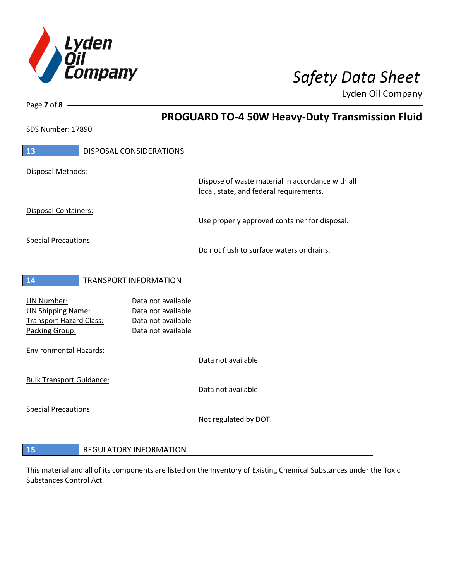

**PROGUARD TO-4 50W Heavy-Duty Transmission Fluid**

Lyden Oil Company

SDS Number: 17890

Page **7** of **8**

| 13<br><b>DISPOSAL CONSIDERATIONS</b>                                                         |
|----------------------------------------------------------------------------------------------|
|                                                                                              |
| Disposal Methods:                                                                            |
| Dispose of waste material in accordance with all<br>local, state, and federal requirements.  |
|                                                                                              |
| <b>Disposal Containers:</b>                                                                  |
| Use properly approved container for disposal.                                                |
| <b>Special Precautions:</b>                                                                  |
| Do not flush to surface waters or drains.                                                    |
|                                                                                              |
|                                                                                              |
| 14<br><b>TRANSPORT INFORMATION</b>                                                           |
|                                                                                              |
| Data not available<br><b>UN Number:</b>                                                      |
| <b>UN Shipping Name:</b><br>Data not available                                               |
| Data not available<br><b>Transport Hazard Class:</b><br>Packing Group:<br>Data not available |
|                                                                                              |
| <b>Environmental Hazards:</b>                                                                |
| Data not available                                                                           |
|                                                                                              |
| <b>Bulk Transport Guidance:</b><br>Data not available                                        |
|                                                                                              |
| <b>Special Precautions:</b>                                                                  |
| Not regulated by DOT.                                                                        |
|                                                                                              |
|                                                                                              |

This material and all of its components are listed on the Inventory of Existing Chemical Substances under the Toxic Substances Control Act.